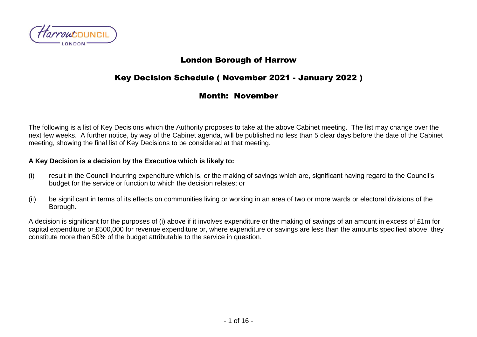

## London Borough of Harrow

# Key Decision Schedule ( November 2021 - January 2022 )

### Month: November

The following is a list of Key Decisions which the Authority proposes to take at the above Cabinet meeting. The list may change over the next few weeks. A further notice, by way of the Cabinet agenda, will be published no less than 5 clear days before the date of the Cabinet meeting, showing the final list of Key Decisions to be considered at that meeting.

#### **A Key Decision is a decision by the Executive which is likely to:**

- (i) result in the Council incurring expenditure which is, or the making of savings which are, significant having regard to the Council's budget for the service or function to which the decision relates; or
- (ii) be significant in terms of its effects on communities living or working in an area of two or more wards or electoral divisions of the Borough.

A decision is significant for the purposes of (i) above if it involves expenditure or the making of savings of an amount in excess of £1m for capital expenditure or £500,000 for revenue expenditure or, where expenditure or savings are less than the amounts specified above, they constitute more than 50% of the budget attributable to the service in question.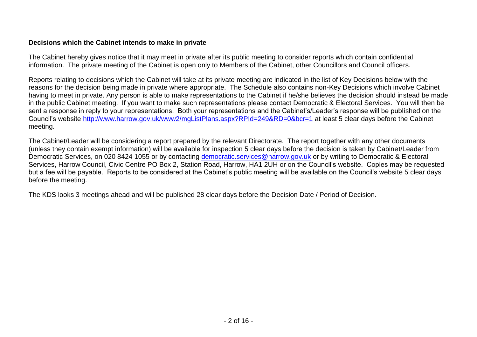#### **Decisions which the Cabinet intends to make in private**

The Cabinet hereby gives notice that it may meet in private after its public meeting to consider reports which contain confidential information. The private meeting of the Cabinet is open only to Members of the Cabinet, other Councillors and Council officers.

Reports relating to decisions which the Cabinet will take at its private meeting are indicated in the list of Key Decisions below with the reasons for the decision being made in private where appropriate. The Schedule also contains non-Key Decisions which involve Cabinet having to meet in private. Any person is able to make representations to the Cabinet if he/she believes the decision should instead be made in the public Cabinet meeting. If you want to make such representations please contact Democratic & Electoral Services. You will then be sent a response in reply to your representations. Both your representations and the Cabinet's/Leader's response will be published on the Council's website<http://www.harrow.gov.uk/www2/mgListPlans.aspx?RPId=249&RD=0&bcr=1> at least 5 clear days before the Cabinet meeting.

The Cabinet/Leader will be considering a report prepared by the relevant Directorate. The report together with any other documents (unless they contain exempt information) will be available for inspection 5 clear days before the decision is taken by Cabinet/Leader from Democratic Services, on 020 8424 1055 or by contacting [democratic.services@harrow.gov.uk](mailto:democratic.services@harrow.gov.uk) or by writing to Democratic & Electoral Services, Harrow Council, Civic Centre PO Box 2, Station Road, Harrow, HA1 2UH or on the Council's website. Copies may be requested but a fee will be payable. Reports to be considered at the Cabinet's public meeting will be available on the Council's website 5 clear days before the meeting.

The KDS looks 3 meetings ahead and will be published 28 clear days before the Decision Date / Period of Decision.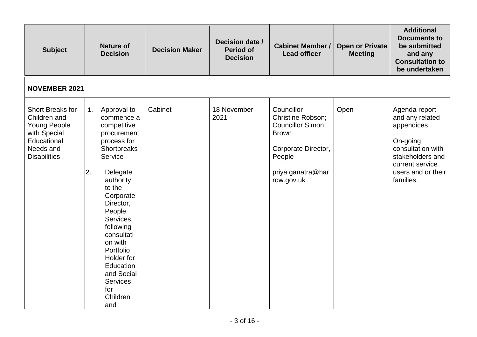| <b>Subject</b>                                                                                                                    |           | <b>Nature of</b><br><b>Decision</b>                                                                                                                                                                                                                                                                                           | <b>Decision Maker</b> | Decision date /<br><b>Period of</b><br><b>Decision</b> | <b>Cabinet Member /</b><br><b>Lead officer</b>                                                                                                        | <b>Open or Private</b><br><b>Meeting</b> | <b>Additional</b><br><b>Documents to</b><br>be submitted<br>and any<br><b>Consultation to</b><br>be undertaken                                            |
|-----------------------------------------------------------------------------------------------------------------------------------|-----------|-------------------------------------------------------------------------------------------------------------------------------------------------------------------------------------------------------------------------------------------------------------------------------------------------------------------------------|-----------------------|--------------------------------------------------------|-------------------------------------------------------------------------------------------------------------------------------------------------------|------------------------------------------|-----------------------------------------------------------------------------------------------------------------------------------------------------------|
| <b>NOVEMBER 2021</b>                                                                                                              |           |                                                                                                                                                                                                                                                                                                                               |                       |                                                        |                                                                                                                                                       |                                          |                                                                                                                                                           |
| <b>Short Breaks for</b><br>Children and<br><b>Young People</b><br>with Special<br>Educational<br>Needs and<br><b>Disabilities</b> | 1.<br>I2. | Approval to<br>commence a<br>competitive<br>procurement<br>process for<br>Shortbreaks<br>Service<br>Delegate<br>authority<br>to the<br>Corporate<br>Director,<br>People<br>Services,<br>following<br>consultati<br>on with<br>Portfolio<br>Holder for<br>Education<br>and Social<br><b>Services</b><br>for<br>Children<br>and | Cabinet               | 18 November<br>2021                                    | Councillor<br><b>Christine Robson;</b><br><b>Councillor Simon</b><br><b>Brown</b><br>Corporate Director,<br>People<br>priya.ganatra@har<br>row.gov.uk | Open                                     | Agenda report<br>and any related<br>appendices<br>On-going<br>consultation with<br>stakeholders and<br>current service<br>users and or their<br>families. |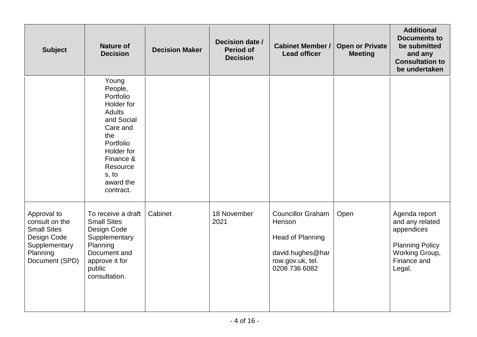| <b>Subject</b>                                                                                                    | <b>Nature of</b><br><b>Decision</b>                                                                                                                                                  | <b>Decision Maker</b> | Decision date /<br><b>Period of</b><br><b>Decision</b> | <b>Cabinet Member /</b><br><b>Lead officer</b>                                                                  | <b>Open or Private</b><br><b>Meeting</b> | <b>Additional</b><br><b>Documents to</b><br>be submitted<br>and any<br><b>Consultation to</b><br>be undertaken      |
|-------------------------------------------------------------------------------------------------------------------|--------------------------------------------------------------------------------------------------------------------------------------------------------------------------------------|-----------------------|--------------------------------------------------------|-----------------------------------------------------------------------------------------------------------------|------------------------------------------|---------------------------------------------------------------------------------------------------------------------|
|                                                                                                                   | Young<br>People,<br>Portfolio<br>Holder for<br><b>Adults</b><br>and Social<br>Care and<br>the<br>Portfolio<br>Holder for<br>Finance &<br>Resource<br>s, to<br>award the<br>contract. |                       |                                                        |                                                                                                                 |                                          |                                                                                                                     |
| Approval to<br>consult on the<br><b>Small Sites</b><br>Design Code<br>Supplementary<br>Planning<br>Document (SPD) | To receive a draft<br><b>Small Sites</b><br>Design Code<br>Supplementary<br>Planning<br>Document and<br>approve it for<br>public<br>consultation.                                    | Cabinet               | 18 November<br>2021                                    | <b>Councillor Graham</b><br>Henson<br>Head of Planning<br>david.hughes@har<br>row.gov.uk, tel.<br>0208 736 6082 | Open                                     | Agenda report<br>and any related<br>appendices<br><b>Planning Policy</b><br>Working Group,<br>Finance and<br>Legal. |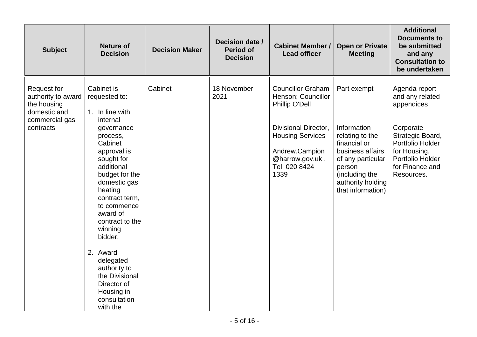| <b>Subject</b>                                                                                         | <b>Nature of</b><br><b>Decision</b>                                                                                                                                                                                                                                                                                                                                                               | <b>Decision Maker</b> | Decision date /<br><b>Period of</b><br><b>Decision</b> | <b>Cabinet Member /</b><br><b>Lead officer</b>                                                                                                                                           | <b>Open or Private</b><br><b>Meeting</b>                                                                                                                                     | <b>Additional</b><br><b>Documents to</b><br>be submitted<br>and any<br><b>Consultation to</b><br>be undertaken                                                           |
|--------------------------------------------------------------------------------------------------------|---------------------------------------------------------------------------------------------------------------------------------------------------------------------------------------------------------------------------------------------------------------------------------------------------------------------------------------------------------------------------------------------------|-----------------------|--------------------------------------------------------|------------------------------------------------------------------------------------------------------------------------------------------------------------------------------------------|------------------------------------------------------------------------------------------------------------------------------------------------------------------------------|--------------------------------------------------------------------------------------------------------------------------------------------------------------------------|
| <b>Request for</b><br>authority to award<br>the housing<br>domestic and<br>commercial gas<br>contracts | Cabinet is<br>requested to:<br>1. In line with<br>internal<br>governance<br>process,<br>Cabinet<br>approval is<br>sought for<br>additional<br>budget for the<br>domestic gas<br>heating<br>contract term,<br>to commence<br>award of<br>contract to the<br>winning<br>bidder.<br>2. Award<br>delegated<br>authority to<br>the Divisional<br>Director of<br>Housing in<br>consultation<br>with the | Cabinet               | 18 November<br>2021                                    | <b>Councillor Graham</b><br>Henson; Councillor<br>Phillip O'Dell<br><b>Divisional Director,</b><br><b>Housing Services</b><br>Andrew.Campion<br>@harrow.gov.uk,<br>Tel: 020 8424<br>1339 | Part exempt<br>Information<br>relating to the<br>financial or<br>business affairs<br>of any particular<br>person<br>(including the<br>authority holding<br>that information) | Agenda report<br>and any related<br>appendices<br>Corporate<br>Strategic Board,<br>Portfolio Holder<br>for Housing,<br>Portfolio Holder<br>for Finance and<br>Resources. |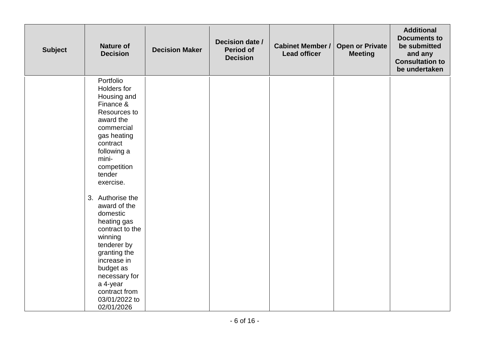| <b>Subject</b> | <b>Nature of</b><br><b>Decision</b>                                                                                                                                                                                                                                                                                                                                                                                           | <b>Decision Maker</b> | Decision date /<br><b>Period of</b><br><b>Decision</b> | <b>Cabinet Member /</b><br><b>Lead officer</b> | <b>Open or Private</b><br><b>Meeting</b> | <b>Additional</b><br><b>Documents to</b><br>be submitted<br>and any<br><b>Consultation to</b><br>be undertaken |
|----------------|-------------------------------------------------------------------------------------------------------------------------------------------------------------------------------------------------------------------------------------------------------------------------------------------------------------------------------------------------------------------------------------------------------------------------------|-----------------------|--------------------------------------------------------|------------------------------------------------|------------------------------------------|----------------------------------------------------------------------------------------------------------------|
|                | Portfolio<br>Holders for<br>Housing and<br>Finance &<br>Resources to<br>award the<br>commercial<br>gas heating<br>contract<br>following a<br>mini-<br>competition<br>tender<br>exercise.<br>3. Authorise the<br>award of the<br>domestic<br>heating gas<br>contract to the<br>winning<br>tenderer by<br>granting the<br>increase in<br>budget as<br>necessary for<br>a 4-year<br>contract from<br>03/01/2022 to<br>02/01/2026 |                       |                                                        |                                                |                                          |                                                                                                                |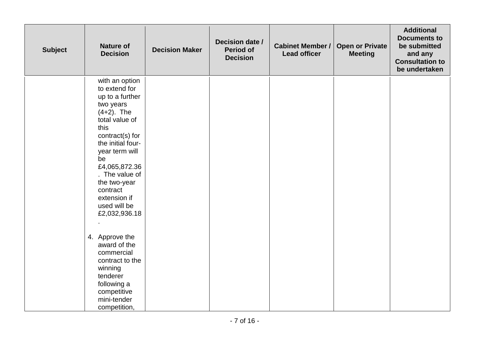| <b>Subject</b> | <b>Nature of</b><br><b>Decision</b>                                                                                                                                                                                                                                                                                                                                                                                                               | <b>Decision Maker</b> | Decision date /<br><b>Period of</b><br><b>Decision</b> | <b>Cabinet Member /</b><br><b>Lead officer</b> | <b>Open or Private</b><br><b>Meeting</b> | <b>Additional</b><br><b>Documents to</b><br>be submitted<br>and any<br><b>Consultation to</b><br>be undertaken |
|----------------|---------------------------------------------------------------------------------------------------------------------------------------------------------------------------------------------------------------------------------------------------------------------------------------------------------------------------------------------------------------------------------------------------------------------------------------------------|-----------------------|--------------------------------------------------------|------------------------------------------------|------------------------------------------|----------------------------------------------------------------------------------------------------------------|
|                | with an option<br>to extend for<br>up to a further<br>two years<br>$(4+2)$ . The<br>total value of<br>this<br>contract(s) for<br>the initial four-<br>year term will<br>be<br>£4,065,872.36<br>. The value of<br>the two-year<br>contract<br>extension if<br>used will be<br>£2,032,936.18<br>4. Approve the<br>award of the<br>commercial<br>contract to the<br>winning<br>tenderer<br>following a<br>competitive<br>mini-tender<br>competition, |                       |                                                        |                                                |                                          |                                                                                                                |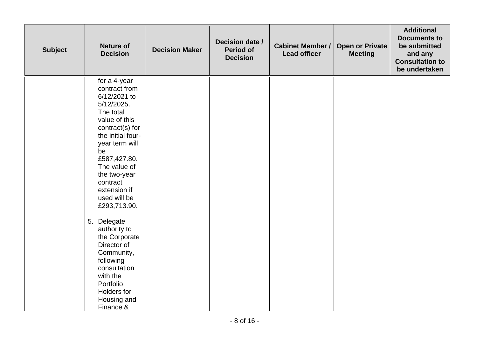| <b>Subject</b> | <b>Nature of</b><br><b>Decision</b>                                                                                                                                                                                                                                                                                                                                                                                                                 | <b>Decision Maker</b> | Decision date /<br><b>Period of</b><br><b>Decision</b> | <b>Cabinet Member /</b><br><b>Lead officer</b> | <b>Open or Private</b><br><b>Meeting</b> | <b>Additional</b><br><b>Documents to</b><br>be submitted<br>and any<br><b>Consultation to</b><br>be undertaken |
|----------------|-----------------------------------------------------------------------------------------------------------------------------------------------------------------------------------------------------------------------------------------------------------------------------------------------------------------------------------------------------------------------------------------------------------------------------------------------------|-----------------------|--------------------------------------------------------|------------------------------------------------|------------------------------------------|----------------------------------------------------------------------------------------------------------------|
|                | for a 4-year<br>contract from<br>6/12/2021 to<br>5/12/2025.<br>The total<br>value of this<br>contract(s) for<br>the initial four-<br>year term will<br>be<br>£587,427.80.<br>The value of<br>the two-year<br>contract<br>extension if<br>used will be<br>£293,713.90.<br>5. Delegate<br>authority to<br>the Corporate<br>Director of<br>Community,<br>following<br>consultation<br>with the<br>Portfolio<br>Holders for<br>Housing and<br>Finance & |                       |                                                        |                                                |                                          |                                                                                                                |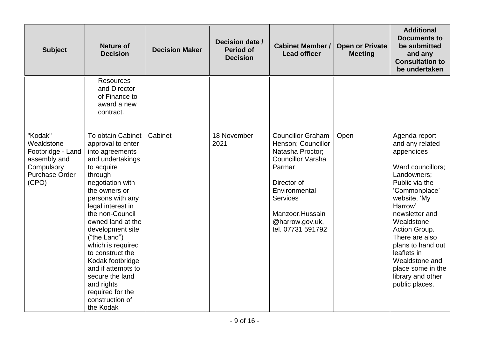| <b>Subject</b>                                                                                             | <b>Nature of</b><br><b>Decision</b>                                                                                                                                                                                                                                                                                                                                                                                                      | <b>Decision Maker</b> | Decision date /<br><b>Period of</b><br><b>Decision</b> | <b>Cabinet Member /</b><br><b>Lead officer</b>                                                                                                                                                                         | <b>Open or Private</b><br><b>Meeting</b> | <b>Additional</b><br><b>Documents to</b><br>be submitted<br>and any<br><b>Consultation to</b><br>be undertaken                                                                                                                                                                                                                        |
|------------------------------------------------------------------------------------------------------------|------------------------------------------------------------------------------------------------------------------------------------------------------------------------------------------------------------------------------------------------------------------------------------------------------------------------------------------------------------------------------------------------------------------------------------------|-----------------------|--------------------------------------------------------|------------------------------------------------------------------------------------------------------------------------------------------------------------------------------------------------------------------------|------------------------------------------|---------------------------------------------------------------------------------------------------------------------------------------------------------------------------------------------------------------------------------------------------------------------------------------------------------------------------------------|
|                                                                                                            | <b>Resources</b><br>and Director<br>of Finance to<br>award a new<br>contract.                                                                                                                                                                                                                                                                                                                                                            |                       |                                                        |                                                                                                                                                                                                                        |                                          |                                                                                                                                                                                                                                                                                                                                       |
| "Kodak"<br>Wealdstone<br>Footbridge - Land<br>assembly and<br>Compulsory<br><b>Purchase Order</b><br>(CPO) | To obtain Cabinet<br>approval to enter<br>into agreements<br>and undertakings<br>to acquire<br>through<br>negotiation with<br>the owners or<br>persons with any<br>legal interest in<br>the non-Council<br>owned land at the<br>development site<br>("the Land")<br>which is required<br>to construct the<br>Kodak footbridge<br>and if attempts to<br>secure the land<br>and rights<br>required for the<br>construction of<br>the Kodak | Cabinet               | 18 November<br>2021                                    | <b>Councillor Graham</b><br>Henson; Councillor<br>Natasha Proctor;<br><b>Councillor Varsha</b><br>Parmar<br>Director of<br>Environmental<br><b>Services</b><br>Manzoor.Hussain<br>@harrow.gov.uk,<br>tel. 07731 591792 | Open                                     | Agenda report<br>and any related<br>appendices<br>Ward councillors;<br>Landowners;<br>Public via the<br>'Commonplace'<br>website, 'My<br>Harrow'<br>newsletter and<br>Wealdstone<br>Action Group.<br>There are also<br>plans to hand out<br>leaflets in<br>Wealdstone and<br>place some in the<br>library and other<br>public places. |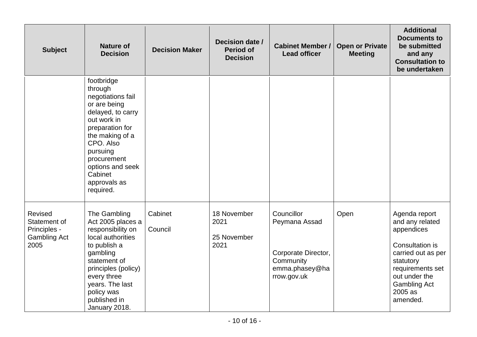| <b>Subject</b>                                                         | <b>Nature of</b><br><b>Decision</b>                                                                                                                                                                                                      | <b>Decision Maker</b> | Decision date /<br><b>Period of</b><br><b>Decision</b> | <b>Cabinet Member /</b><br><b>Lead officer</b>                                                   | <b>Open or Private</b><br><b>Meeting</b> | <b>Additional</b><br><b>Documents to</b><br>be submitted<br>and any<br><b>Consultation to</b><br>be undertaken                                                                          |
|------------------------------------------------------------------------|------------------------------------------------------------------------------------------------------------------------------------------------------------------------------------------------------------------------------------------|-----------------------|--------------------------------------------------------|--------------------------------------------------------------------------------------------------|------------------------------------------|-----------------------------------------------------------------------------------------------------------------------------------------------------------------------------------------|
|                                                                        | footbridge<br>through<br>negotiations fail<br>or are being<br>delayed, to carry<br>out work in<br>preparation for<br>the making of a<br>CPO. Also<br>pursuing<br>procurement<br>options and seek<br>Cabinet<br>approvals as<br>required. |                       |                                                        |                                                                                                  |                                          |                                                                                                                                                                                         |
| Revised<br>Statement of<br>Principles -<br><b>Gambling Act</b><br>2005 | The Gambling<br>Act 2005 places a<br>responsibility on<br>local authorities<br>to publish a<br>gambling<br>statement of<br>principles (policy)<br>every three<br>years. The last<br>policy was<br>published in<br>January 2018.          | Cabinet<br>Council    | 18 November<br>2021<br>25 November<br>2021             | Councillor<br>Peymana Assad<br>Corporate Director,<br>Community<br>emma.phasey@ha<br>rrow.gov.uk | Open                                     | Agenda report<br>and any related<br>appendices<br>Consultation is<br>carried out as per<br>statutory<br>requirements set<br>out under the<br><b>Gambling Act</b><br>2005 as<br>amended. |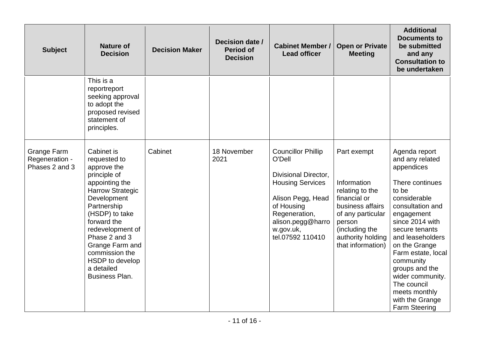| <b>Subject</b>                                         | <b>Nature of</b><br><b>Decision</b>                                                                                                                                                                                                                                                                       | <b>Decision Maker</b> | Decision date /<br><b>Period of</b><br><b>Decision</b> | <b>Cabinet Member /</b><br><b>Lead officer</b>                                                                                                                                                   | <b>Open or Private</b><br><b>Meeting</b>                                                                                                                                     | <b>Additional</b><br><b>Documents to</b><br>be submitted<br>and any<br><b>Consultation to</b><br>be undertaken                                                                                                                                                                                                                                             |
|--------------------------------------------------------|-----------------------------------------------------------------------------------------------------------------------------------------------------------------------------------------------------------------------------------------------------------------------------------------------------------|-----------------------|--------------------------------------------------------|--------------------------------------------------------------------------------------------------------------------------------------------------------------------------------------------------|------------------------------------------------------------------------------------------------------------------------------------------------------------------------------|------------------------------------------------------------------------------------------------------------------------------------------------------------------------------------------------------------------------------------------------------------------------------------------------------------------------------------------------------------|
|                                                        | This is a<br>reportreport<br>seeking approval<br>to adopt the<br>proposed revised<br>statement of<br>principles.                                                                                                                                                                                          |                       |                                                        |                                                                                                                                                                                                  |                                                                                                                                                                              |                                                                                                                                                                                                                                                                                                                                                            |
| <b>Grange Farm</b><br>Regeneration -<br>Phases 2 and 3 | Cabinet is<br>requested to<br>approve the<br>principle of<br>appointing the<br><b>Harrow Strategic</b><br>Development<br>Partnership<br>(HSDP) to take<br>forward the<br>redevelopment of<br>Phase 2 and 3<br>Grange Farm and<br>commission the<br>HSDP to develop<br>a detailed<br><b>Business Plan.</b> | Cabinet               | 18 November<br>2021                                    | <b>Councillor Phillip</b><br>O'Dell<br>Divisional Director,<br><b>Housing Services</b><br>Alison Pegg, Head<br>of Housing<br>Regeneration,<br>alison.pegg@harro<br>w.gov.uk,<br>tel.07592 110410 | Part exempt<br>Information<br>relating to the<br>financial or<br>business affairs<br>of any particular<br>person<br>(including the<br>authority holding<br>that information) | Agenda report<br>and any related<br>appendices<br>There continues<br>to be<br>considerable<br>consultation and<br>engagement<br>since 2014 with<br>secure tenants<br>and leaseholders<br>on the Grange<br>Farm estate, local<br>community<br>groups and the<br>wider community.<br>The council<br>meets monthly<br>with the Grange<br><b>Farm Steering</b> |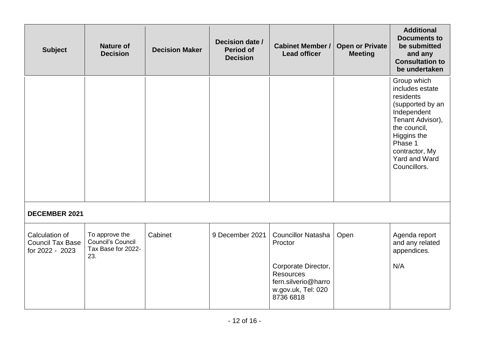| <b>Subject</b>                                               | <b>Nature of</b><br><b>Decision</b>                                     | <b>Decision Maker</b> | Decision date /<br><b>Period of</b><br><b>Decision</b> | <b>Cabinet Member /</b><br><b>Lead officer</b>                                                    | <b>Open or Private</b><br><b>Meeting</b> | <b>Additional</b><br><b>Documents to</b><br>be submitted<br>and any<br><b>Consultation to</b><br>be undertaken                                                                                         |
|--------------------------------------------------------------|-------------------------------------------------------------------------|-----------------------|--------------------------------------------------------|---------------------------------------------------------------------------------------------------|------------------------------------------|--------------------------------------------------------------------------------------------------------------------------------------------------------------------------------------------------------|
|                                                              |                                                                         |                       |                                                        |                                                                                                   |                                          | Group which<br>includes estate<br>residents<br>(supported by an<br>Independent<br>Tenant Advisor),<br>the council,<br>Higgins the<br>Phase 1<br>contractor, My<br><b>Yard and Ward</b><br>Councillors. |
| <b>DECEMBER 2021</b>                                         |                                                                         |                       |                                                        |                                                                                                   |                                          |                                                                                                                                                                                                        |
| Calculation of<br><b>Council Tax Base</b><br>for 2022 - 2023 | To approve the<br><b>Council's Council</b><br>Tax Base for 2022-<br>23. | Cabinet               | 9 December 2021                                        | <b>Councillor Natasha</b><br>Proctor                                                              | Open                                     | Agenda report<br>and any related<br>appendices.                                                                                                                                                        |
|                                                              |                                                                         |                       |                                                        | Corporate Director,<br><b>Resources</b><br>fern.silverio@harro<br>w.gov.uk, Tel: 020<br>8736 6818 |                                          | N/A                                                                                                                                                                                                    |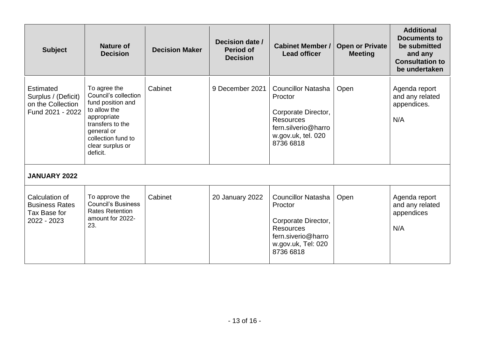| <b>Subject</b>                                                            | Nature of<br><b>Decision</b>                                                                                                                                                     | <b>Decision Maker</b> | Decision date /<br><b>Period of</b><br><b>Decision</b> | <b>Cabinet Member /</b><br><b>Lead officer</b>                                                                                            | <b>Open or Private</b><br><b>Meeting</b> | <b>Additional</b><br><b>Documents to</b><br>be submitted<br>and any<br><b>Consultation to</b><br>be undertaken |
|---------------------------------------------------------------------------|----------------------------------------------------------------------------------------------------------------------------------------------------------------------------------|-----------------------|--------------------------------------------------------|-------------------------------------------------------------------------------------------------------------------------------------------|------------------------------------------|----------------------------------------------------------------------------------------------------------------|
| Estimated<br>Surplus / (Deficit)<br>on the Collection<br>Fund 2021 - 2022 | To agree the<br>Council's collection<br>fund position and<br>to allow the<br>appropriate<br>transfers to the<br>general or<br>collection fund to<br>clear surplus or<br>deficit. | Cabinet               | 9 December 2021                                        | <b>Councillor Natasha</b><br>Proctor<br>Corporate Director,<br><b>Resources</b><br>fern.silverio@harro<br>w.gov.uk, tel. 020<br>8736 6818 | Open                                     | Agenda report<br>and any related<br>appendices.<br>N/A                                                         |
| <b>JANUARY 2022</b>                                                       |                                                                                                                                                                                  |                       |                                                        |                                                                                                                                           |                                          |                                                                                                                |
| Calculation of<br><b>Business Rates</b><br>Tax Base for<br>2022 - 2023    | To approve the<br><b>Council's Business</b><br><b>Rates Retention</b><br>amount for 2022-<br>23.                                                                                 | Cabinet               | 20 January 2022                                        | <b>Councillor Natasha</b><br>Proctor<br>Corporate Director,<br><b>Resources</b><br>fern.siverio@harro<br>w.gov.uk, Tel: 020<br>8736 6818  | Open                                     | Agenda report<br>and any related<br>appendices<br>N/A                                                          |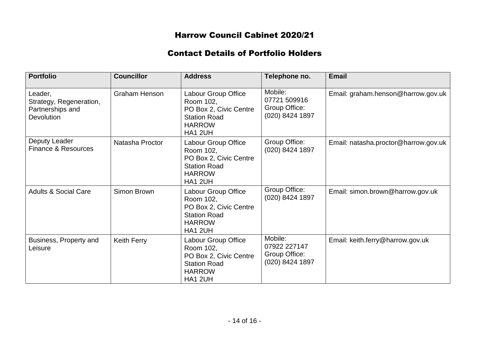# Harrow Council Cabinet 2020/21

## Contact Details of Portfolio Holders

| <b>Portfolio</b>                                                            | <b>Councillor</b>    | <b>Address</b>                                                                                                | Telephone no.                                               | <b>Email</b>                         |
|-----------------------------------------------------------------------------|----------------------|---------------------------------------------------------------------------------------------------------------|-------------------------------------------------------------|--------------------------------------|
| Leader,<br>Strategy, Regeneration,<br>Partnerships and<br><b>Devolution</b> | <b>Graham Henson</b> | Labour Group Office<br>Room 102,<br>PO Box 2, Civic Centre<br><b>Station Road</b><br><b>HARROW</b><br>HA1 2UH | Mobile:<br>07721 509916<br>Group Office:<br>(020) 8424 1897 | Email: graham.henson@harrow.gov.uk   |
| Deputy Leader<br><b>Finance &amp; Resources</b>                             | Natasha Proctor      | Labour Group Office<br>Room 102,<br>PO Box 2, Civic Centre<br><b>Station Road</b><br><b>HARROW</b><br>HA1 2UH | Group Office:<br>(020) 8424 1897                            | Email: natasha.proctor@harrow.gov.uk |
| <b>Adults &amp; Social Care</b>                                             | Simon Brown          | Labour Group Office<br>Room 102,<br>PO Box 2, Civic Centre<br><b>Station Road</b><br><b>HARROW</b><br>HA1 2UH | Group Office:<br>(020) 8424 1897                            | Email: simon.brown@harrow.gov.uk     |
| Business, Property and<br>Leisure                                           | <b>Keith Ferry</b>   | Labour Group Office<br>Room 102,<br>PO Box 2, Civic Centre<br><b>Station Road</b><br><b>HARROW</b><br>HA1 2UH | Mobile:<br>07922 227147<br>Group Office:<br>(020) 8424 1897 | Email: keith.ferry@harrow.gov.uk     |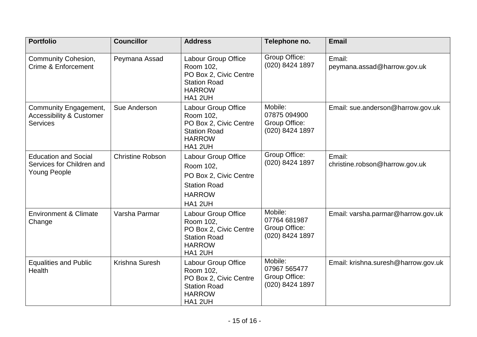| <b>Portfolio</b>                                                                | <b>Councillor</b>       | <b>Address</b>                                                                                                       | Telephone no.                                               | <b>Email</b>                             |
|---------------------------------------------------------------------------------|-------------------------|----------------------------------------------------------------------------------------------------------------------|-------------------------------------------------------------|------------------------------------------|
| <b>Community Cohesion,</b><br>Crime & Enforcement                               | Peymana Assad           | Labour Group Office<br>Room 102,<br>PO Box 2, Civic Centre<br><b>Station Road</b><br><b>HARROW</b><br><b>HA1 2UH</b> | Group Office:<br>(020) 8424 1897                            | Email:<br>peymana.assad@harrow.gov.uk    |
| Community Engagement,<br><b>Accessibility &amp; Customer</b><br><b>Services</b> | Sue Anderson            | Labour Group Office<br>Room 102,<br>PO Box 2, Civic Centre<br><b>Station Road</b><br><b>HARROW</b><br>HA1 2UH        | Mobile:<br>07875 094900<br>Group Office:<br>(020) 8424 1897 | Email: sue.anderson@harrow.gov.uk        |
| <b>Education and Social</b><br>Services for Children and<br><b>Young People</b> | <b>Christine Robson</b> | Labour Group Office<br>Room 102,<br>PO Box 2, Civic Centre<br><b>Station Road</b><br><b>HARROW</b><br><b>HA1 2UH</b> | Group Office:<br>(020) 8424 1897                            | Email:<br>christine.robson@harrow.gov.uk |
| <b>Environment &amp; Climate</b><br>Change                                      | Varsha Parmar           | Labour Group Office<br>Room 102,<br>PO Box 2, Civic Centre<br><b>Station Road</b><br><b>HARROW</b><br><b>HA1 2UH</b> | Mobile:<br>07764 681987<br>Group Office:<br>(020) 8424 1897 | Email: varsha.parmar@harrow.gov.uk       |
| <b>Equalities and Public</b><br><b>Health</b>                                   | Krishna Suresh          | Labour Group Office<br>Room 102,<br>PO Box 2, Civic Centre<br><b>Station Road</b><br><b>HARROW</b><br><b>HA1 2UH</b> | Mobile:<br>07967 565477<br>Group Office:<br>(020) 8424 1897 | Email: krishna.suresh@harrow.gov.uk      |